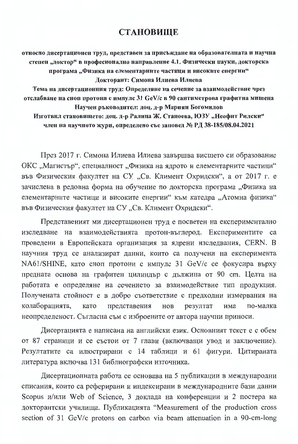## **СТАНОВИЩЕ**

относно дисертационен труд, представен за присъждане на образователната и научна степен "доктор" в професионално направление 4.1. Физически науки, докторска програма "Физика на елементарните частици и високите енергии" Докторант: Симона Илиева Илиева

Тема на дисертационния труд: Определяне на сечение за взаимодействие чрез отслабване на сноп протони с импулс 31 GeV/с в 90 сантиметрова графитна мишена Научен ръководител: доц. д-р Мариян Богомилов

Изготвил становището: доц. д-р Ралица Ж. Станоева, ЮЗУ "Неофит Рилски" член на научното жури, определено със заповед № РД 38-185/08.04.2021

През 2017 г. Симона Илиева Илиева завършва висшето си образование ОКС "Магистър", специалност "Физика на ядрото и елементарните частици" във Физическия факултет на СУ "Св. Климент Охридски", а от 2017 г. е зачислена в редовна форма на обучение по докторска програма "Физика на елементарните частици и високите енергии" към катедра "Атомна физика" във Физическия факултет на СУ "Св. Климент Охридски".

Представеният ми дисертационен труд е посветен на експериментално изследване на взаимодействията протон-въглерод. Експериментите са проведени в Европейската организация за ядрени изследвания, CERN. В научния труд се анализират данни, които са получени на експеримента NA61/SHINE, като сноп протони с импулс 31 GeV/с се фокусира върху предната основа на графитен цилиндър с дължина от 90 cm. Целта на работата е определяне на сечението за взаимодействие тип продукция. Получената стойност е в добро съответствие с предходни измервания на колаборацията, представения HOB резултат има по-малка като неопределеност. Съгласна съм с изброените от автора научни приноси.

Дисертацията е написана на английски език. Основният текст е с обем от 87 страници и се състои от 7 глави (включващи увод и заключение). Резултатите са илюстрирани с 14 таблици и 61 фигури. Цитираната литература включва 131 библиографски източника.

Дисертационната работа се основава на 5 публикации в международни списания, които са реферирани и индексирани в международните бази данни Scopus и/или Web of Science, 3 доклада на конференции и 2 постера на докторантски училища. Публикацията "Measurement of the production cross section of 31 GeV/c protons on carbon via beam attenuation in a 90-cm-long